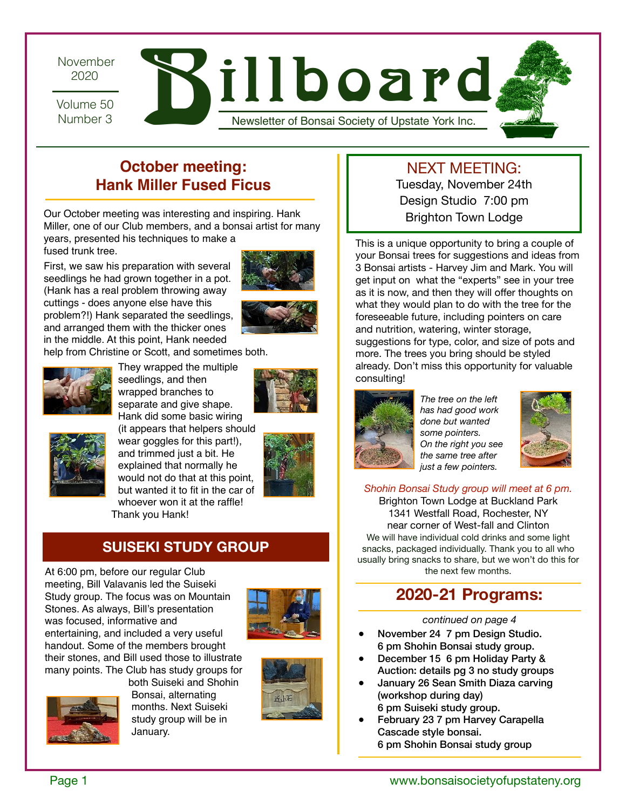November 2020

Number 3

 $\frac{2020}{2020}$   $\mathbf{N}$ illboard

Newsletter of Bonsai Society of Upstate York Inc.

# **October meeting: Hank Miller Fused Ficus**

Our October meeting was interesting and inspiring. Hank Miller, one of our Club members, and a bonsai artist for many

years, presented his techniques to make a fused trunk tree.

First, we saw his preparation with several seedlings he had grown together in a pot. (Hank has a real problem throwing away cuttings - does anyone else have this problem?!) Hank separated the seedlings, and arranged them with the thicker ones in the middle. At this point, Hank needed





help from Christine or Scott, and sometimes both.



They wrapped the multiple seedlings, and then wrapped branches to separate and give shape. Hank did some basic wiring





(it appears that helpers should wear goggles for this part!), and trimmed just a bit. He explained that normally he would not do that at this point, but wanted it to fit in the car of whoever won it at the raffle! Thank you Hank!



### **SUISEKI STUDY GROUP**

At 6:00 pm, before our regular Club meeting, Bill Valavanis led the Suiseki Study group. The focus was on Mountain Stones. As always, Bill's presentation was focused, informative and entertaining, and included a very useful handout. Some of the members brought their stones, and Bill used those to illustrate many points. The Club has study groups for







Bonsai, alternating months. Next Suiseki study group will be in January.



# NEXT MEETING:

Tuesday, November 24th Design Studio 7:00 pm Brighton Town Lodge

This is a unique opportunity to bring a couple of your Bonsai trees for suggestions and ideas from 3 Bonsai artists - Harvey Jim and Mark. You will get input on what the "experts" see in your tree as it is now, and then they will offer thoughts on what they would plan to do with the tree for the foreseeable future, including pointers on care and nutrition, watering, winter storage, suggestions for type, color, and size of pots and more. The trees you bring should be styled already. Don't miss this opportunity for valuable consulting!



*The tree on the left has had good work done but wanted some pointers. On the right you see the same tree after just a few pointers.* 



*Shohin Bonsai Study group will meet at 6 pm.*

Brighton Town Lodge at Buckland Park 1341 Westfall Road, Rochester, NY near corner of West-fall and Clinton We will have individual cold drinks and some light snacks, packaged individually. Thank you to all who usually bring snacks to share, but we won't do this for the next few months.

# **2020-21 Programs:**

*continued on page 4* 

- November 24 7 pm Design Studio. 6 pm Shohin Bonsai study group.
- December 15 6 pm Holiday Party & Auction: details pg 3 no study groups
- January 26 Sean Smith Diaza carving (workshop during day) 6 pm Suiseki study group.
- February 23 7 pm Harvey Carapella Cascade style bonsai. 6 pm Shohin Bonsai study group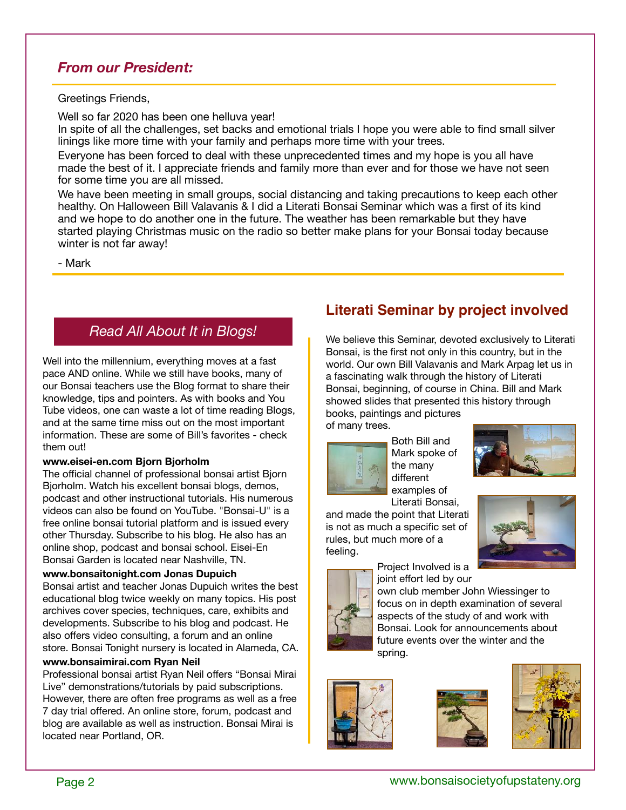### *From our President:*

#### Greetings Friends,

Well so far 2020 has been one helluva year!

In spite of all the challenges, set backs and emotional trials I hope you were able to find small silver linings like more time with your family and perhaps more time with your trees.

Everyone has been forced to deal with these unprecedented times and my hope is you all have made the best of it. I appreciate friends and family more than ever and for those we have not seen for some time you are all missed.

We have been meeting in small groups, social distancing and taking precautions to keep each other healthy. On Halloween Bill Valavanis & I did a Literati Bonsai Seminar which was a first of its kind and we hope to do another one in the future. The weather has been remarkable but they have started playing Christmas music on the radio so better make plans for your Bonsai today because winter is not far away!

- Mark

## *Read All About It in Blogs!*

and at the same time miss out on the most important Well into the millennium, everything moves at a fast pace AND online. While we still have books, many of our Bonsai teachers use the Blog format to share their knowledge, tips and pointers. As with books and You Tube videos, one can waste a lot of time reading Blogs, information. These are some of Bill's favorites - check them out!

#### **www.eisei-en.com Bjorn Bjorholm**

The official channel of professional bonsai artist Bjorn Bjorholm. Watch his excellent bonsai blogs, demos, podcast and other instructional tutorials. His numerous videos can also be found on YouTube. "Bonsai-U" is a free online bonsai tutorial platform and is issued every other Thursday. Subscribe to his blog. He also has an online shop, podcast and bonsai school. Eisei-En Bonsai Garden is located near Nashville, TN.

#### **www.bonsaitonight.com Jonas Dupuich**

Bonsai artist and teacher Jonas Dupuich writes the best educational blog twice weekly on many topics. His post archives cover species, techniques, care, exhibits and developments. Subscribe to his blog and podcast. He also offers video consulting, a forum and an online store. Bonsai Tonight nursery is located in Alameda, CA.

#### **www.bonsaimirai.com Ryan Neil**

Professional bonsai artist Ryan Neil offers "Bonsai Mirai Live" demonstrations/tutorials by paid subscriptions. However, there are often free programs as well as a free 7 day trial offered. An online store, forum, podcast and blog are available as well as instruction. Bonsai Mirai is located near Portland, OR.

## **Literati Seminar by project involved**

We believe this Seminar, devoted exclusively to Literati Bonsai, is the first not only in this country, but in the world. Our own Bill Valavanis and Mark Arpag let us in a fascinating walk through the history of Literati Bonsai, beginning, of course in China. Bill and Mark showed slides that presented this history through books, paintings and pictures of many trees.



Both Bill and Mark spoke of examples of Literati Bonsai,

and made the point that Literati is not as much a specific set of rules, but much more of a feeling.





Project Involved is a joint effort led by our

own club member John Wiessinger to focus on in depth examination of several aspects of the study of and work with Bonsai. Look for announcements about future events over the winter and the spring.





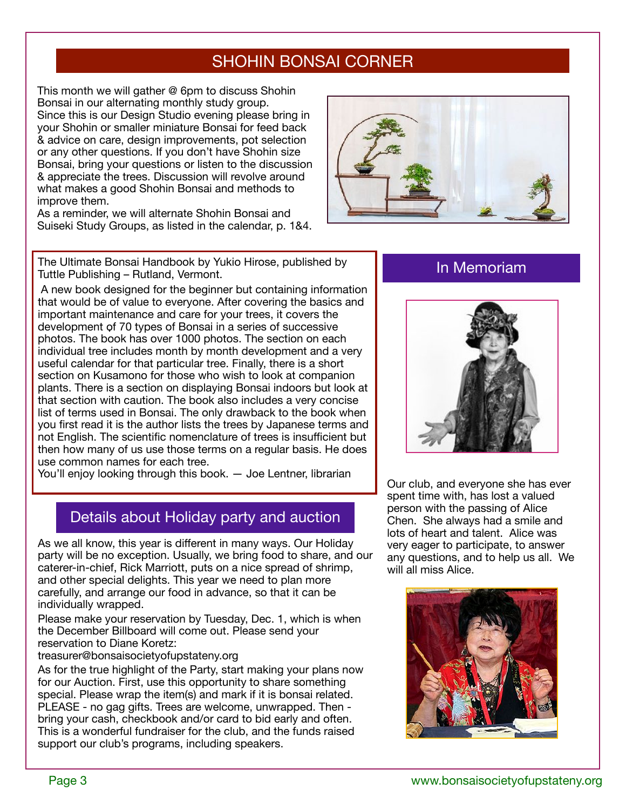# SHOHIN BONSAI CORNER

This month we will gather @ 6pm to discuss Shohin Bonsai in our alternating monthly study group. Since this is our Design Studio evening please bring in your Shohin or smaller miniature Bonsai for feed back & advice on care, design improvements, pot selection or any other questions. If you don't have Shohin size Bonsai, bring your questions or listen to the discussion & appreciate the trees. Discussion will revolve around what makes a good Shohin Bonsai and methods to improve them.

As a reminder, we will alternate Shohin Bonsai and Suiseki Study Groups, as listed in the calendar, p. 1&4.



The Ultimate Bonsai Handbook by Yukio Hirose, published by Tuttle Publishing – Rutland, Vermont.

 A new book designed for the beginner but containing information that would be of value to everyone. After covering the basics and important maintenance and care for your trees, it covers the development of 70 types of Bonsai in a series of successive photos. The book has over 1000 photos. The section on each individual tree includes month by month development and a very useful calendar for that particular tree. Finally, there is a short section on Kusamono for those who wish to look at companion plants. There is a section on displaying Bonsai indoors but look at that section with caution. The book also includes a very concise list of terms used in Bonsai. The only drawback to the book when you first read it is the author lists the trees by Japanese terms and not English. The scientific nomenclature of trees is insufficient but then how many of us use those terms on a regular basis. He does use common names for each tree.

You'll enjoy looking through this book. — Joe Lentner, librarian

## Details about Holiday party and auction

As we all know, this year is different in many ways. Our Holiday party will be no exception. Usually, we bring food to share, and our caterer-in-chief, Rick Marriott, puts on a nice spread of shrimp, and other special delights. This year we need to plan more carefully, and arrange our food in advance, so that it can be individually wrapped.

Please make your reservation by Tuesday, Dec. 1, which is when the December Billboard will come out. Please send your reservation to Diane Koretz:

treasurer@bonsaisocietyofupstateny.org

As for the true highlight of the Party, start making your plans now for our Auction. First, use this opportunity to share something special. Please wrap the item(s) and mark if it is bonsai related. PLEASE - no gag gifts. Trees are welcome, unwrapped. Then bring your cash, checkbook and/or card to bid early and often. This is a wonderful fundraiser for the club, and the funds raised support our club's programs, including speakers.

### In Memoriam



Our club, and everyone she has ever spent time with, has lost a valued person with the passing of Alice Chen. She always had a smile and lots of heart and talent. Alice was very eager to participate, to answer any questions, and to help us all. We will all miss Alice.